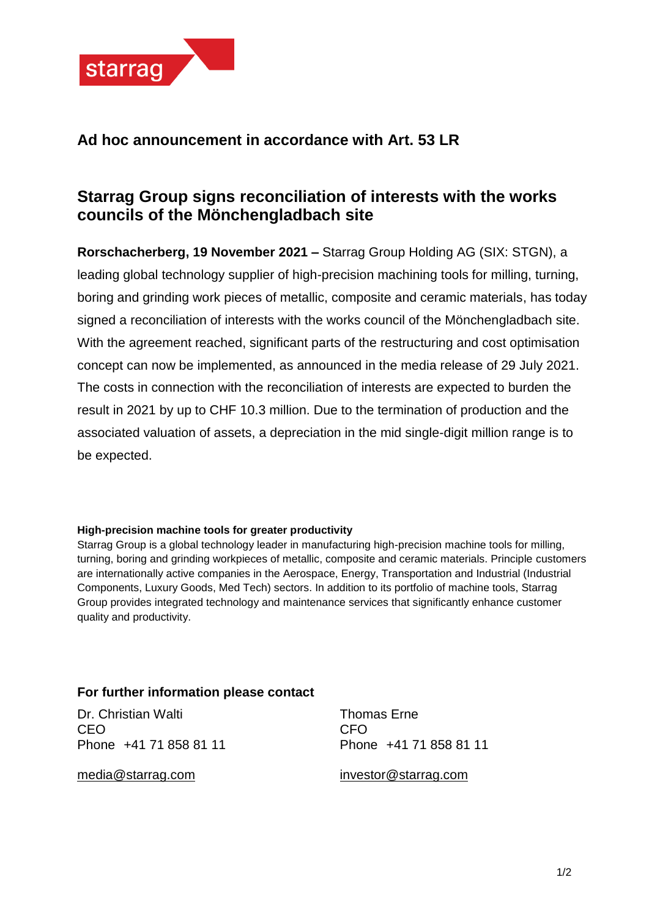

## **Ad hoc announcement in accordance with Art. 53 LR**

# **Starrag Group signs reconciliation of interests with the works councils of the Mönchengladbach site**

**Rorschacherberg, 19 November 2021 –** Starrag Group Holding AG (SIX: STGN), a leading global technology supplier of high-precision machining tools for milling, turning, boring and grinding work pieces of metallic, composite and ceramic materials, has today signed a reconciliation of interests with the works council of the Mönchengladbach site. With the agreement reached, significant parts of the restructuring and cost optimisation concept can now be implemented, as announced in the media release of 29 July 2021. The costs in connection with the reconciliation of interests are expected to burden the result in 2021 by up to CHF 10.3 million. Due to the termination of production and the associated valuation of assets, a depreciation in the mid single-digit million range is to be expected.

#### **High-precision machine tools for greater productivity**

Starrag Group is a global technology leader in manufacturing high-precision machine tools for milling, turning, boring and grinding workpieces of metallic, composite and ceramic materials. Principle customers are internationally active companies in the Aerospace, Energy, Transportation and Industrial (Industrial Components, Luxury Goods, Med Tech) sectors. In addition to its portfolio of machine tools, Starrag Group provides integrated technology and maintenance services that significantly enhance customer quality and productivity.

### **For further information please contact**

Dr. Christian Walti **Thomas Erne** CEO CFO Phone +41 71 858 81 11 Phone +41 71 858 81 11

[media@starrag.com](mailto:media@starrag.com) [investor@starrag.com](mailto:investor@starrag.com)